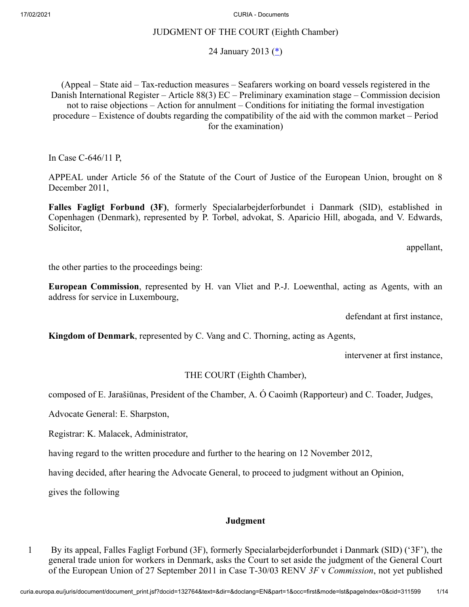## JUDGMENT OF THE COURT (Eighth Chamber)

<span id="page-0-0"></span>24 January 2013  $(*)$  $(*)$ 

(Appeal – State aid – Tax-reduction measures – Seafarers working on board vessels registered in the Danish International Register – Article 88(3) EC – Preliminary examination stage – Commission decision not to raise objections – Action for annulment – Conditions for initiating the formal investigation procedure – Existence of doubts regarding the compatibility of the aid with the common market – Period for the examination)

In Case C‑646/11 P,

APPEAL under Article 56 of the Statute of the Court of Justice of the European Union, brought on 8 December 2011,

**Falles Fagligt Forbund (3F)**, formerly Specialarbejderforbundet i Danmark (SID), established in Copenhagen (Denmark), represented by P. Torbøl, advokat, S. Aparicio Hill, abogada, and V. Edwards, Solicitor,

appellant,

the other parties to the proceedings being:

**European Commission**, represented by H. van Vliet and P.-J. Loewenthal, acting as Agents, with an address for service in Luxembourg,

defendant at first instance,

**Kingdom of Denmark**, represented by C. Vang and C. Thorning, acting as Agents,

intervener at first instance,

THE COURT (Eighth Chamber),

composed of E. Jarašiūnas, President of the Chamber, A. Ó Caoimh (Rapporteur) and C. Toader, Judges,

Advocate General: E. Sharpston,

Registrar: K. Malacek, Administrator,

having regard to the written procedure and further to the hearing on 12 November 2012,

having decided, after hearing the Advocate General, to proceed to judgment without an Opinion,

gives the following

## **Judgment**

1 By its appeal, Falles Fagligt Forbund (3F), formerly Specialarbejderforbundet i Danmark (SID) ('3F'), the general trade union for workers in Denmark, asks the Court to set aside the judgment of the General Court of the European Union of 27 September 2011 in Case T‑30/03 RENV *3F* v *Commission*, not yet published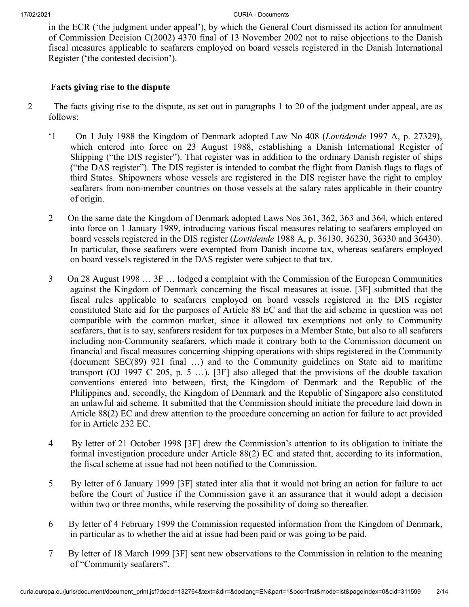in the ECR ('the judgment under appeal'), by which the General Court dismissed its action for annulment of Commission Decision C(2002) 4370 final of 13 November 2002 not to raise objections to the Danish fiscal measures applicable to seafarers employed on board vessels registered in the Danish International Register ('the contested decision').

## **Facts giving rise to the dispute**

- 2 The facts giving rise to the dispute, as set out in paragraphs 1 to 20 of the judgment under appeal, are as follows:
	- '1 On 1 July 1988 the Kingdom of Denmark adopted Law No 408 (*Lovtidende* 1997 A, p. 27329), which entered into force on 23 August 1988, establishing a Danish International Register of Shipping ("the DIS register"). That register was in addition to the ordinary Danish register of ships ("the DAS register"). The DIS register is intended to combat the flight from Danish flags to flags of third States. Shipowners whose vessels are registered in the DIS register have the right to employ seafarers from non-member countries on those vessels at the salary rates applicable in their country of origin.
	- 2 On the same date the Kingdom of Denmark adopted Laws Nos 361, 362, 363 and 364, which entered into force on 1 January 1989, introducing various fiscal measures relating to seafarers employed on board vessels registered in the DIS register (*Lovtidende* 1988 A, p. 36130, 36230, 36330 and 36430). In particular, those seafarers were exempted from Danish income tax, whereas seafarers employed on board vessels registered in the DAS register were subject to that tax.
	- 3 On 28 August 1998 … 3F … lodged a complaint with the Commission of the European Communities against the Kingdom of Denmark concerning the fiscal measures at issue. [3F] submitted that the fiscal rules applicable to seafarers employed on board vessels registered in the DIS register constituted State aid for the purposes of Article 88 EC and that the aid scheme in question was not compatible with the common market, since it allowed tax exemptions not only to Community seafarers, that is to say, seafarers resident for tax purposes in a Member State, but also to all seafarers including non‑Community seafarers, which made it contrary both to the Commission document on financial and fiscal measures concerning shipping operations with ships registered in the Community (document SEC(89) 921 final …) and to the Community guidelines on State aid to maritime transport (OJ 1997 C 205, p. 5 …). [3F] also alleged that the provisions of the double taxation conventions entered into between, first, the Kingdom of Denmark and the Republic of the Philippines and, secondly, the Kingdom of Denmark and the Republic of Singapore also constituted an unlawful aid scheme. It submitted that the Commission should initiate the procedure laid down in Article 88(2) EC and drew attention to the procedure concerning an action for failure to act provided for in Article 232 EC.
	- 4 By letter of 21 October 1998 [3F] drew the Commission's attention to its obligation to initiate the formal investigation procedure under Article 88(2) EC and stated that, according to its information, the fiscal scheme at issue had not been notified to the Commission.
	- 5 By letter of 6 January 1999 [3F] stated inter alia that it would not bring an action for failure to act before the Court of Justice if the Commission gave it an assurance that it would adopt a decision within two or three months, while reserving the possibility of doing so thereafter.
	- 6 By letter of 4 February 1999 the Commission requested information from the Kingdom of Denmark, in particular as to whether the aid at issue had been paid or was going to be paid.
	- 7 By letter of 18 March 1999 [3F] sent new observations to the Commission in relation to the meaning of "Community seafarers".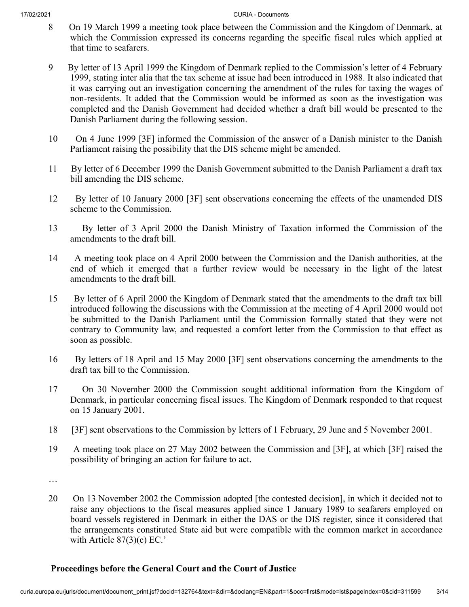- 8 On 19 March 1999 a meeting took place between the Commission and the Kingdom of Denmark, at which the Commission expressed its concerns regarding the specific fiscal rules which applied at that time to seafarers.
- 9 By letter of 13 April 1999 the Kingdom of Denmark replied to the Commission's letter of 4 February 1999, stating inter alia that the tax scheme at issue had been introduced in 1988. It also indicated that it was carrying out an investigation concerning the amendment of the rules for taxing the wages of non-residents. It added that the Commission would be informed as soon as the investigation was completed and the Danish Government had decided whether a draft bill would be presented to the Danish Parliament during the following session.
- 10 On 4 June 1999 [3F] informed the Commission of the answer of a Danish minister to the Danish Parliament raising the possibility that the DIS scheme might be amended.
- 11 By letter of 6 December 1999 the Danish Government submitted to the Danish Parliament a draft tax bill amending the DIS scheme.
- 12 By letter of 10 January 2000 [3F] sent observations concerning the effects of the unamended DIS scheme to the Commission.
- 13 By letter of 3 April 2000 the Danish Ministry of Taxation informed the Commission of the amendments to the draft bill.
- 14 A meeting took place on 4 April 2000 between the Commission and the Danish authorities, at the end of which it emerged that a further review would be necessary in the light of the latest amendments to the draft bill.
- 15 By letter of 6 April 2000 the Kingdom of Denmark stated that the amendments to the draft tax bill introduced following the discussions with the Commission at the meeting of 4 April 2000 would not be submitted to the Danish Parliament until the Commission formally stated that they were not contrary to Community law, and requested a comfort letter from the Commission to that effect as soon as possible.
- 16 By letters of 18 April and 15 May 2000 [3F] sent observations concerning the amendments to the draft tax bill to the Commission.
- 17 On 30 November 2000 the Commission sought additional information from the Kingdom of Denmark, in particular concerning fiscal issues. The Kingdom of Denmark responded to that request on 15 January 2001.
- 18 [3F] sent observations to the Commission by letters of 1 February, 29 June and 5 November 2001.
- 19 A meeting took place on 27 May 2002 between the Commission and [3F], at which [3F] raised the possibility of bringing an action for failure to act.
- …
- 20 On 13 November 2002 the Commission adopted [the contested decision], in which it decided not to raise any objections to the fiscal measures applied since 1 January 1989 to seafarers employed on board vessels registered in Denmark in either the DAS or the DIS register, since it considered that the arrangements constituted State aid but were compatible with the common market in accordance with Article  $87(3)(c)$  EC.'

# **Proceedings before the General Court and the Court of Justice**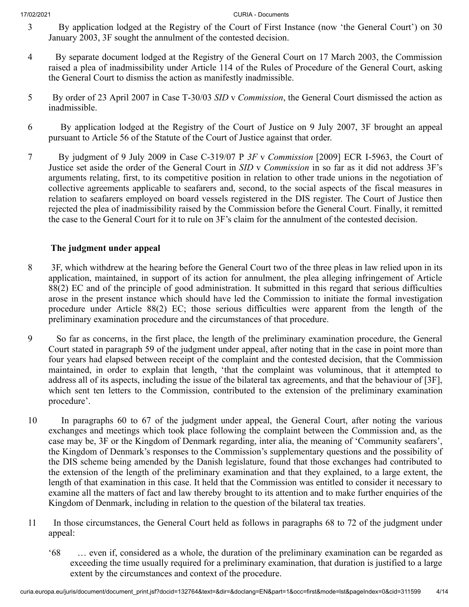- 3 By application lodged at the Registry of the Court of First Instance (now 'the General Court') on 30 January 2003, 3F sought the annulment of the contested decision.
- 4 By separate document lodged at the Registry of the General Court on 17 March 2003, the Commission raised a plea of inadmissibility under Article 114 of the Rules of Procedure of the General Court, asking the General Court to dismiss the action as manifestly inadmissible.
- 5 By order of 23 April 2007 in Case T‑30/03 *SID* v *Commission*, the General Court dismissed the action as inadmissible.
- 6 By application lodged at the Registry of the Court of Justice on 9 July 2007, 3F brought an appeal pursuant to Article 56 of the Statute of the Court of Justice against that order.
- 7 By judgment of 9 July 2009 in Case C‑319/07 P *3F* v *Commission* [2009] ECR I‑5963, the Court of Justice set aside the order of the General Court in *SID* v *Commission* in so far as it did not address 3F's arguments relating, first, to its competitive position in relation to other trade unions in the negotiation of collective agreements applicable to seafarers and, second, to the social aspects of the fiscal measures in relation to seafarers employed on board vessels registered in the DIS register. The Court of Justice then rejected the plea of inadmissibility raised by the Commission before the General Court. Finally, it remitted the case to the General Court for it to rule on 3F's claim for the annulment of the contested decision.

# **The judgment under appeal**

- 8 3F, which withdrew at the hearing before the General Court two of the three pleas in law relied upon in its application, maintained, in support of its action for annulment, the plea alleging infringement of Article 88(2) EC and of the principle of good administration. It submitted in this regard that serious difficulties arose in the present instance which should have led the Commission to initiate the formal investigation procedure under Article 88(2) EC; those serious difficulties were apparent from the length of the preliminary examination procedure and the circumstances of that procedure.
- 9 So far as concerns, in the first place, the length of the preliminary examination procedure, the General Court stated in paragraph 59 of the judgment under appeal, after noting that in the case in point more than four years had elapsed between receipt of the complaint and the contested decision, that the Commission maintained, in order to explain that length, 'that the complaint was voluminous, that it attempted to address all of its aspects, including the issue of the bilateral tax agreements, and that the behaviour of [3F], which sent ten letters to the Commission, contributed to the extension of the preliminary examination procedure'.
- 10 In paragraphs 60 to 67 of the judgment under appeal, the General Court, after noting the various exchanges and meetings which took place following the complaint between the Commission and, as the case may be, 3F or the Kingdom of Denmark regarding, inter alia, the meaning of 'Community seafarers', the Kingdom of Denmark's responses to the Commission's supplementary questions and the possibility of the DIS scheme being amended by the Danish legislature, found that those exchanges had contributed to the extension of the length of the preliminary examination and that they explained, to a large extent, the length of that examination in this case. It held that the Commission was entitled to consider it necessary to examine all the matters of fact and law thereby brought to its attention and to make further enquiries of the Kingdom of Denmark, including in relation to the question of the bilateral tax treaties.
- 11 In those circumstances, the General Court held as follows in paragraphs 68 to 72 of the judgment under appeal:
	- '68 … even if, considered as a whole, the duration of the preliminary examination can be regarded as exceeding the time usually required for a preliminary examination, that duration is justified to a large extent by the circumstances and context of the procedure.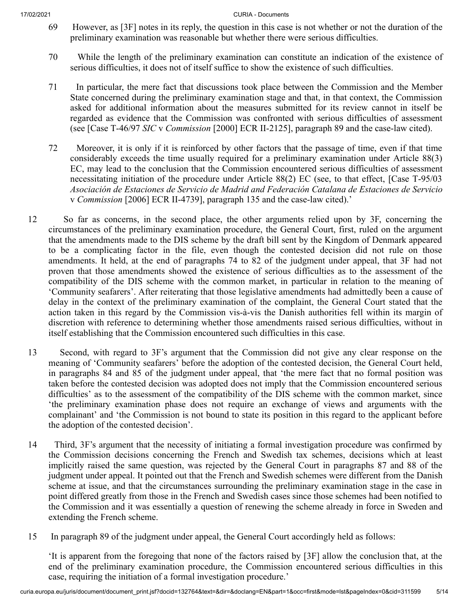- 69 However, as [3F] notes in its reply, the question in this case is not whether or not the duration of the preliminary examination was reasonable but whether there were serious difficulties.
- 70 While the length of the preliminary examination can constitute an indication of the existence of serious difficulties, it does not of itself suffice to show the existence of such difficulties.
- 71 In particular, the mere fact that discussions took place between the Commission and the Member State concerned during the preliminary examination stage and that, in that context, the Commission asked for additional information about the measures submitted for its review cannot in itself be regarded as evidence that the Commission was confronted with serious difficulties of assessment (see [Case T‑46/97 *SIC* v *Commission* [2000] ECR II‑2125], paragraph 89 and the case-law cited).
- 72 Moreover, it is only if it is reinforced by other factors that the passage of time, even if that time considerably exceeds the time usually required for a preliminary examination under Article 88(3) EC, may lead to the conclusion that the Commission encountered serious difficulties of assessment necessitating initiation of the procedure under Article 88(2) EC (see, to that effect, [Case T‑95/03 *Asociación de Estaciones de Servicio de Madrid and Federación Catalana de Estaciones de Servicio* v *Commission* [2006] ECR II‑4739], paragraph 135 and the case-law cited).'
- 12 So far as concerns, in the second place, the other arguments relied upon by 3F, concerning the circumstances of the preliminary examination procedure, the General Court, first, ruled on the argument that the amendments made to the DIS scheme by the draft bill sent by the Kingdom of Denmark appeared to be a complicating factor in the file, even though the contested decision did not rule on those amendments. It held, at the end of paragraphs 74 to 82 of the judgment under appeal, that 3F had not proven that those amendments showed the existence of serious difficulties as to the assessment of the compatibility of the DIS scheme with the common market, in particular in relation to the meaning of 'Community seafarers'. After reiterating that those legislative amendments had admittedly been a cause of delay in the context of the preliminary examination of the complaint, the General Court stated that the action taken in this regard by the Commission vis-à-vis the Danish authorities fell within its margin of discretion with reference to determining whether those amendments raised serious difficulties, without in itself establishing that the Commission encountered such difficulties in this case.
- 13 Second, with regard to 3F's argument that the Commission did not give any clear response on the meaning of 'Community seafarers' before the adoption of the contested decision, the General Court held, in paragraphs 84 and 85 of the judgment under appeal, that 'the mere fact that no formal position was taken before the contested decision was adopted does not imply that the Commission encountered serious difficulties' as to the assessment of the compatibility of the DIS scheme with the common market, since 'the preliminary examination phase does not require an exchange of views and arguments with the complainant' and 'the Commission is not bound to state its position in this regard to the applicant before the adoption of the contested decision'.
- 14 Third, 3F's argument that the necessity of initiating a formal investigation procedure was confirmed by the Commission decisions concerning the French and Swedish tax schemes, decisions which at least implicitly raised the same question, was rejected by the General Court in paragraphs 87 and 88 of the judgment under appeal. It pointed out that the French and Swedish schemes were different from the Danish scheme at issue, and that the circumstances surrounding the preliminary examination stage in the case in point differed greatly from those in the French and Swedish cases since those schemes had been notified to the Commission and it was essentially a question of renewing the scheme already in force in Sweden and extending the French scheme.
- 15 In paragraph 89 of the judgment under appeal, the General Court accordingly held as follows:

'It is apparent from the foregoing that none of the factors raised by [3F] allow the conclusion that, at the end of the preliminary examination procedure, the Commission encountered serious difficulties in this case, requiring the initiation of a formal investigation procedure.'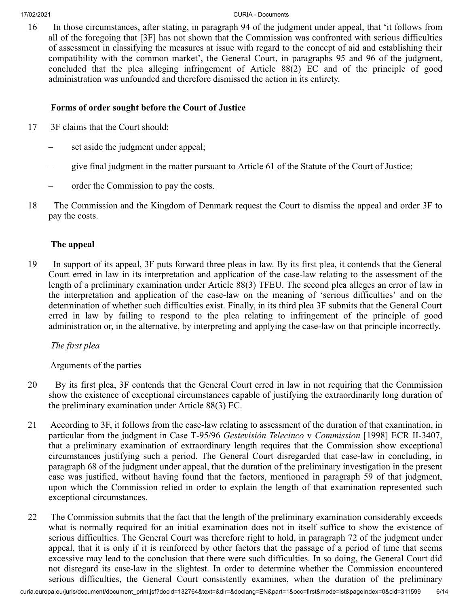16 In those circumstances, after stating, in paragraph 94 of the judgment under appeal, that 'it follows from all of the foregoing that [3F] has not shown that the Commission was confronted with serious difficulties of assessment in classifying the measures at issue with regard to the concept of aid and establishing their compatibility with the common market', the General Court, in paragraphs 95 and 96 of the judgment, concluded that the plea alleging infringement of Article 88(2) EC and of the principle of good administration was unfounded and therefore dismissed the action in its entirety.

# **Forms of order sought before the Court of Justice**

- 17 3F claims that the Court should:
	- set aside the judgment under appeal;
	- give final judgment in the matter pursuant to Article 61 of the Statute of the Court of Justice;
	- order the Commission to pay the costs.
- 18 The Commission and the Kingdom of Denmark request the Court to dismiss the appeal and order 3F to pay the costs.

# **The appeal**

19 In support of its appeal, 3F puts forward three pleas in law. By its first plea, it contends that the General Court erred in law in its interpretation and application of the case-law relating to the assessment of the length of a preliminary examination under Article 88(3) TFEU. The second plea alleges an error of law in the interpretation and application of the case-law on the meaning of 'serious difficulties' and on the determination of whether such difficulties exist. Finally, in its third plea 3F submits that the General Court erred in law by failing to respond to the plea relating to infringement of the principle of good administration or, in the alternative, by interpreting and applying the case-law on that principle incorrectly.

*The first plea*

Arguments of the parties

- 20 By its first plea, 3F contends that the General Court erred in law in not requiring that the Commission show the existence of exceptional circumstances capable of justifying the extraordinarily long duration of the preliminary examination under Article 88(3) EC.
- 21 According to 3F, it follows from the case-law relating to assessment of the duration of that examination, in particular from the judgment in Case T‑95/96 *Gestevisión Telecinco* v *Commission* [1998] ECR II‑3407, that a preliminary examination of extraordinary length requires that the Commission show exceptional circumstances justifying such a period. The General Court disregarded that case-law in concluding, in paragraph 68 of the judgment under appeal, that the duration of the preliminary investigation in the present case was justified, without having found that the factors, mentioned in paragraph 59 of that judgment, upon which the Commission relied in order to explain the length of that examination represented such exceptional circumstances.
- 22 The Commission submits that the fact that the length of the preliminary examination considerably exceeds what is normally required for an initial examination does not in itself suffice to show the existence of serious difficulties. The General Court was therefore right to hold, in paragraph 72 of the judgment under appeal, that it is only if it is reinforced by other factors that the passage of a period of time that seems excessive may lead to the conclusion that there were such difficulties. In so doing, the General Court did not disregard its case-law in the slightest. In order to determine whether the Commission encountered serious difficulties, the General Court consistently examines, when the duration of the preliminary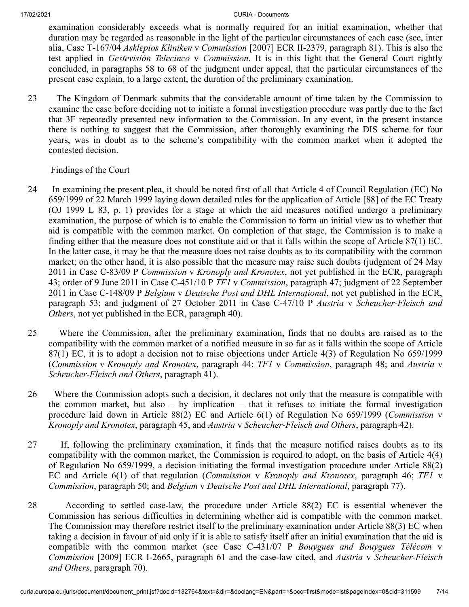examination considerably exceeds what is normally required for an initial examination, whether that duration may be regarded as reasonable in the light of the particular circumstances of each case (see, inter alia, Case T‑167/04 *Asklepios Kliniken* v *Commission* [2007] ECR II‑2379, paragraph 81). This is also the test applied in *Gestevisión Telecinco* v *Commission*. It is in this light that the General Court rightly concluded, in paragraphs 58 to 68 of the judgment under appeal, that the particular circumstances of the present case explain, to a large extent, the duration of the preliminary examination.

23 The Kingdom of Denmark submits that the considerable amount of time taken by the Commission to examine the case before deciding not to initiate a formal investigation procedure was partly due to the fact that 3F repeatedly presented new information to the Commission. In any event, in the present instance there is nothing to suggest that the Commission, after thoroughly examining the DIS scheme for four years, was in doubt as to the scheme's compatibility with the common market when it adopted the contested decision.

Findings of the Court

- 24 In examining the present plea, it should be noted first of all that Article 4 of Council Regulation (EC) No 659/1999 of 22 March 1999 laying down detailed rules for the application of Article [88] of the EC Treaty (OJ 1999 L 83, p. 1) provides for a stage at which the aid measures notified undergo a preliminary examination, the purpose of which is to enable the Commission to form an initial view as to whether that aid is compatible with the common market. On completion of that stage, the Commission is to make a finding either that the measure does not constitute aid or that it falls within the scope of Article 87(1) EC. In the latter case, it may be that the measure does not raise doubts as to its compatibility with the common market; on the other hand, it is also possible that the measure may raise such doubts (judgment of 24 May 2011 in Case C‑83/09 P *Commission* v *Kronoply and Kronotex*, not yet published in the ECR, paragraph 43; order of 9 June 2011 in Case C‑451/10 P *TF1* v *Commission*, paragraph 47; judgment of 22 September 2011 in Case C‑148/09 P *Belgium* v *Deutsche Post and DHL International*, not yet published in the ECR, paragraph 53; and judgment of 27 October 2011 in Case C‑47/10 P *Austria* v *Scheucher-Fleisch and Others*, not yet published in the ECR, paragraph 40).
- 25 Where the Commission, after the preliminary examination, finds that no doubts are raised as to the compatibility with the common market of a notified measure in so far as it falls within the scope of Article 87(1) EC, it is to adopt a decision not to raise objections under Article 4(3) of Regulation No 659/1999 (*Commission* v *Kronoply and Kronotex*, paragraph 44; *TF1* v *Commission*, paragraph 48; and *Austria* v *Scheucher-Fleisch and Others*, paragraph 41).
- 26 Where the Commission adopts such a decision, it declares not only that the measure is compatible with the common market, but also – by implication – that it refuses to initiate the formal investigation procedure laid down in Article 88(2) EC and Article 6(1) of Regulation No 659/1999 (*Commission* v *Kronoply and Kronotex*, paragraph 45, and *Austria* v *Scheucher-Fleisch and Others*, paragraph 42).
- 27 If, following the preliminary examination, it finds that the measure notified raises doubts as to its compatibility with the common market, the Commission is required to adopt, on the basis of Article 4(4) of Regulation No 659/1999, a decision initiating the formal investigation procedure under Article 88(2) EC and Article 6(1) of that regulation (*Commission* v *Kronoply and Kronotex*, paragraph 46; *TF1* v *Commission*, paragraph 50; and *Belgium* v *Deutsche Post and DHL International*, paragraph 77).
- 28 According to settled case-law, the procedure under Article 88(2) EC is essential whenever the Commission has serious difficulties in determining whether aid is compatible with the common market. The Commission may therefore restrict itself to the preliminary examination under Article 88(3) EC when taking a decision in favour of aid only if it is able to satisfy itself after an initial examination that the aid is compatible with the common market (see Case C‑431/07 P *Bouygues and Bouygues Télécom* v *Commission* [2009] ECR I‑2665, paragraph 61 and the case-law cited, and *Austria* v *Scheucher-Fleisch and Others*, paragraph 70).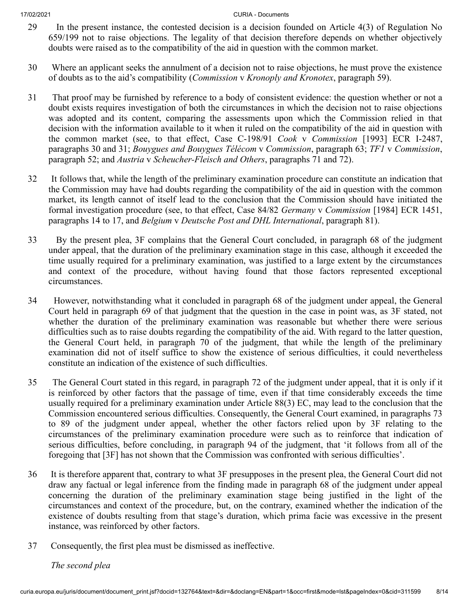- 29 In the present instance, the contested decision is a decision founded on Article 4(3) of Regulation No 659/199 not to raise objections. The legality of that decision therefore depends on whether objectively doubts were raised as to the compatibility of the aid in question with the common market.
- 30 Where an applicant seeks the annulment of a decision not to raise objections, he must prove the existence of doubts as to the aid's compatibility (*Commission* v *Kronoply and Kronotex*, paragraph 59).
- 31 That proof may be furnished by reference to a body of consistent evidence: the question whether or not a doubt exists requires investigation of both the circumstances in which the decision not to raise objections was adopted and its content, comparing the assessments upon which the Commission relied in that decision with the information available to it when it ruled on the compatibility of the aid in question with the common market (see, to that effect, Case C‑198/91 *Cook* v *Commission* [1993] ECR I‑2487, paragraphs 30 and 31; *Bouygues and Bouygues Télécom* v *Commission*, paragraph 63; *TF1* v *Commission*, paragraph 52; and *Austria* v *Scheucher-Fleisch and Others*, paragraphs 71 and 72).
- 32 It follows that, while the length of the preliminary examination procedure can constitute an indication that the Commission may have had doubts regarding the compatibility of the aid in question with the common market, its length cannot of itself lead to the conclusion that the Commission should have initiated the formal investigation procedure (see, to that effect, Case 84/82 *Germany* v *Commission* [1984] ECR 1451, paragraphs 14 to 17, and *Belgium* v *Deutsche Post and DHL International*, paragraph 81).
- 33 By the present plea, 3F complains that the General Court concluded, in paragraph 68 of the judgment under appeal, that the duration of the preliminary examination stage in this case, although it exceeded the time usually required for a preliminary examination, was justified to a large extent by the circumstances and context of the procedure, without having found that those factors represented exceptional circumstances.
- 34 However, notwithstanding what it concluded in paragraph 68 of the judgment under appeal, the General Court held in paragraph 69 of that judgment that the question in the case in point was, as 3F stated, not whether the duration of the preliminary examination was reasonable but whether there were serious difficulties such as to raise doubts regarding the compatibility of the aid. With regard to the latter question, the General Court held, in paragraph 70 of the judgment, that while the length of the preliminary examination did not of itself suffice to show the existence of serious difficulties, it could nevertheless constitute an indication of the existence of such difficulties.
- 35 The General Court stated in this regard, in paragraph 72 of the judgment under appeal, that it is only if it is reinforced by other factors that the passage of time, even if that time considerably exceeds the time usually required for a preliminary examination under Article 88(3) EC, may lead to the conclusion that the Commission encountered serious difficulties. Consequently, the General Court examined, in paragraphs 73 to 89 of the judgment under appeal, whether the other factors relied upon by 3F relating to the circumstances of the preliminary examination procedure were such as to reinforce that indication of serious difficulties, before concluding, in paragraph 94 of the judgment, that 'it follows from all of the foregoing that [3F] has not shown that the Commission was confronted with serious difficulties'.
- 36 It is therefore apparent that, contrary to what 3F presupposes in the present plea, the General Court did not draw any factual or legal inference from the finding made in paragraph 68 of the judgment under appeal concerning the duration of the preliminary examination stage being justified in the light of the circumstances and context of the procedure, but, on the contrary, examined whether the indication of the existence of doubts resulting from that stage's duration, which prima facie was excessive in the present instance, was reinforced by other factors.
- 37 Consequently, the first plea must be dismissed as ineffective.

## *The second plea*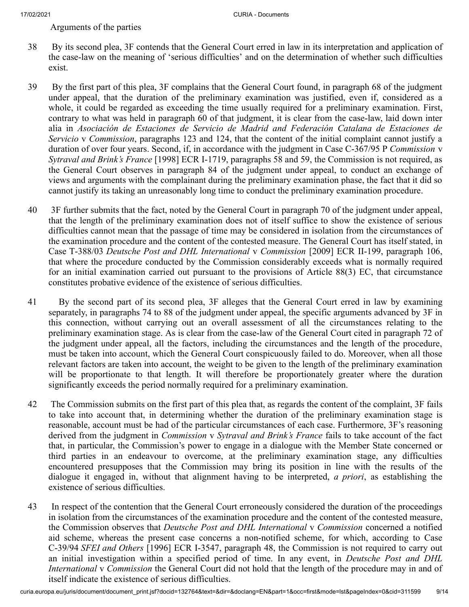Arguments of the parties

- 38 By its second plea, 3F contends that the General Court erred in law in its interpretation and application of the case-law on the meaning of 'serious difficulties' and on the determination of whether such difficulties exist.
- 39 By the first part of this plea, 3F complains that the General Court found, in paragraph 68 of the judgment under appeal, that the duration of the preliminary examination was justified, even if, considered as a whole, it could be regarded as exceeding the time usually required for a preliminary examination. First, contrary to what was held in paragraph 60 of that judgment, it is clear from the case-law, laid down inter alia in *Asociación de Estaciones de Servicio de Madrid and Federación Catalana de Estaciones de Servicio* v *Commission*, paragraphs 123 and 124, that the content of the initial complaint cannot justify a duration of over four years. Second, if, in accordance with the judgment in Case C‑367/95 P *Commission* v *Sytraval and Brink's France* [1998] ECR I‑1719, paragraphs 58 and 59, the Commission is not required, as the General Court observes in paragraph 84 of the judgment under appeal, to conduct an exchange of views and arguments with the complainant during the preliminary examination phase, the fact that it did so cannot justify its taking an unreasonably long time to conduct the preliminary examination procedure.
- 40 3F further submits that the fact, noted by the General Court in paragraph 70 of the judgment under appeal, that the length of the preliminary examination does not of itself suffice to show the existence of serious difficulties cannot mean that the passage of time may be considered in isolation from the circumstances of the examination procedure and the content of the contested measure. The General Court has itself stated, in Case T‑388/03 *Deutsche Post and DHL International* v *Commission* [2009] ECR II‑199, paragraph 106, that where the procedure conducted by the Commission considerably exceeds what is normally required for an initial examination carried out pursuant to the provisions of Article 88(3) EC, that circumstance constitutes probative evidence of the existence of serious difficulties.
- 41 By the second part of its second plea, 3F alleges that the General Court erred in law by examining separately, in paragraphs 74 to 88 of the judgment under appeal, the specific arguments advanced by 3F in this connection, without carrying out an overall assessment of all the circumstances relating to the preliminary examination stage. As is clear from the case-law of the General Court cited in paragraph 72 of the judgment under appeal, all the factors, including the circumstances and the length of the procedure, must be taken into account, which the General Court conspicuously failed to do. Moreover, when all those relevant factors are taken into account, the weight to be given to the length of the preliminary examination will be proportionate to that length. It will therefore be proportionately greater where the duration significantly exceeds the period normally required for a preliminary examination.
- 42 The Commission submits on the first part of this plea that, as regards the content of the complaint, 3F fails to take into account that, in determining whether the duration of the preliminary examination stage is reasonable, account must be had of the particular circumstances of each case. Furthermore, 3F's reasoning derived from the judgment in *Commission* v *Sytraval and Brink's France* fails to take account of the fact that, in particular, the Commission's power to engage in a dialogue with the Member State concerned or third parties in an endeavour to overcome, at the preliminary examination stage, any difficulties encountered presupposes that the Commission may bring its position in line with the results of the dialogue it engaged in, without that alignment having to be interpreted, *a priori*, as establishing the existence of serious difficulties.
- 43 In respect of the contention that the General Court erroneously considered the duration of the proceedings in isolation from the circumstances of the examination procedure and the content of the contested measure, the Commission observes that *Deutsche Post and DHL International* v *Commission* concerned a notified aid scheme, whereas the present case concerns a non-notified scheme, for which, according to Case C‑39/94 *SFEI and Others* [1996] ECR I‑3547, paragraph 48, the Commission is not required to carry out an initial investigation within a specified period of time. In any event, in *Deutsche Post and DHL International* v *Commission* the General Court did not hold that the length of the procedure may in and of itself indicate the existence of serious difficulties.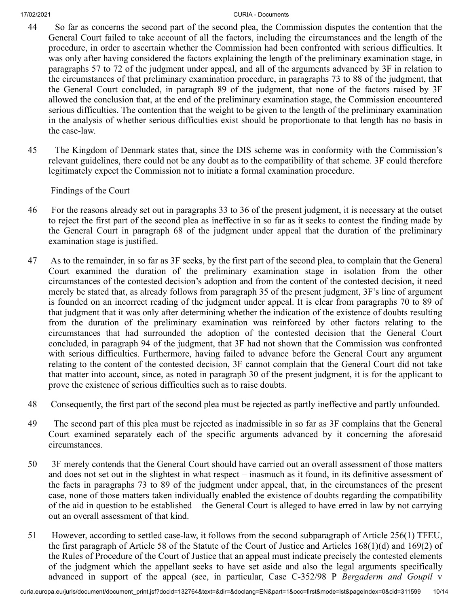- 44 So far as concerns the second part of the second plea, the Commission disputes the contention that the General Court failed to take account of all the factors, including the circumstances and the length of the procedure, in order to ascertain whether the Commission had been confronted with serious difficulties. It was only after having considered the factors explaining the length of the preliminary examination stage, in paragraphs 57 to 72 of the judgment under appeal, and all of the arguments advanced by 3F in relation to the circumstances of that preliminary examination procedure, in paragraphs 73 to 88 of the judgment, that the General Court concluded, in paragraph 89 of the judgment, that none of the factors raised by 3F allowed the conclusion that, at the end of the preliminary examination stage, the Commission encountered serious difficulties. The contention that the weight to be given to the length of the preliminary examination in the analysis of whether serious difficulties exist should be proportionate to that length has no basis in the case-law.
- 45 The Kingdom of Denmark states that, since the DIS scheme was in conformity with the Commission's relevant guidelines, there could not be any doubt as to the compatibility of that scheme. 3F could therefore legitimately expect the Commission not to initiate a formal examination procedure.

Findings of the Court

- 46 For the reasons already set out in paragraphs 33 to 36 of the present judgment, it is necessary at the outset to reject the first part of the second plea as ineffective in so far as it seeks to contest the finding made by the General Court in paragraph 68 of the judgment under appeal that the duration of the preliminary examination stage is justified.
- 47 As to the remainder, in so far as 3F seeks, by the first part of the second plea, to complain that the General Court examined the duration of the preliminary examination stage in isolation from the other circumstances of the contested decision's adoption and from the content of the contested decision, it need merely be stated that, as already follows from paragraph 35 of the present judgment, 3F's line of argument is founded on an incorrect reading of the judgment under appeal. It is clear from paragraphs 70 to 89 of that judgment that it was only after determining whether the indication of the existence of doubts resulting from the duration of the preliminary examination was reinforced by other factors relating to the circumstances that had surrounded the adoption of the contested decision that the General Court concluded, in paragraph 94 of the judgment, that 3F had not shown that the Commission was confronted with serious difficulties. Furthermore, having failed to advance before the General Court any argument relating to the content of the contested decision, 3F cannot complain that the General Court did not take that matter into account, since, as noted in paragraph 30 of the present judgment, it is for the applicant to prove the existence of serious difficulties such as to raise doubts.
- 48 Consequently, the first part of the second plea must be rejected as partly ineffective and partly unfounded.
- 49 The second part of this plea must be rejected as inadmissible in so far as 3F complains that the General Court examined separately each of the specific arguments advanced by it concerning the aforesaid circumstances.
- 50 3F merely contends that the General Court should have carried out an overall assessment of those matters and does not set out in the slightest in what respect – inasmuch as it found, in its definitive assessment of the facts in paragraphs 73 to 89 of the judgment under appeal, that, in the circumstances of the present case, none of those matters taken individually enabled the existence of doubts regarding the compatibility of the aid in question to be established – the General Court is alleged to have erred in law by not carrying out an overall assessment of that kind.
- 51 However, according to settled case-law, it follows from the second subparagraph of Article 256(1) TFEU, the first paragraph of Article 58 of the Statute of the Court of Justice and Articles 168(1)(d) and 169(2) of the Rules of Procedure of the Court of Justice that an appeal must indicate precisely the contested elements of the judgment which the appellant seeks to have set aside and also the legal arguments specifically advanced in support of the appeal (see, in particular, Case C‑352/98 P *Bergaderm and Goupil* v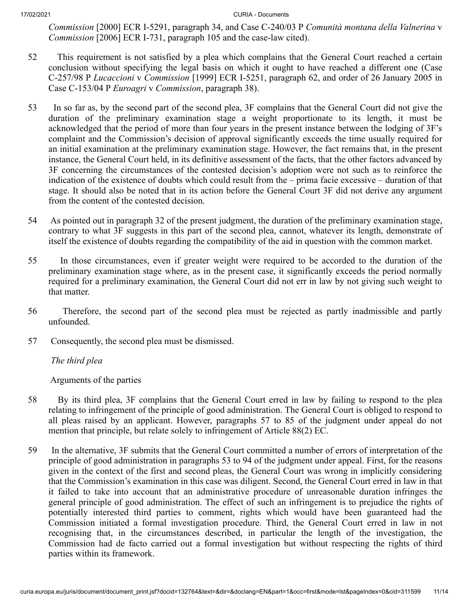*Commission* [2000] ECR I‑5291, paragraph 34, and Case C‑240/03 P *Comunità montana della Valnerina* v *Commission* [2006] ECR I‑731, paragraph 105 and the case-law cited).

- 52 This requirement is not satisfied by a plea which complains that the General Court reached a certain conclusion without specifying the legal basis on which it ought to have reached a different one (Case C‑257/98 P *Lucaccioni* v *Commission* [1999] ECR I‑5251, paragraph 62, and order of 26 January 2005 in Case C‑153/04 P *Euroagri* v *Commission*, paragraph 38).
- 53 In so far as, by the second part of the second plea, 3F complains that the General Court did not give the duration of the preliminary examination stage a weight proportionate to its length, it must be acknowledged that the period of more than four years in the present instance between the lodging of 3F's complaint and the Commission's decision of approval significantly exceeds the time usually required for an initial examination at the preliminary examination stage. However, the fact remains that, in the present instance, the General Court held, in its definitive assessment of the facts, that the other factors advanced by 3F concerning the circumstances of the contested decision's adoption were not such as to reinforce the indication of the existence of doubts which could result from the – prima facie excessive – duration of that stage. It should also be noted that in its action before the General Court 3F did not derive any argument from the content of the contested decision.
- 54 As pointed out in paragraph 32 of the present judgment, the duration of the preliminary examination stage, contrary to what 3F suggests in this part of the second plea, cannot, whatever its length, demonstrate of itself the existence of doubts regarding the compatibility of the aid in question with the common market.
- 55 In those circumstances, even if greater weight were required to be accorded to the duration of the preliminary examination stage where, as in the present case, it significantly exceeds the period normally required for a preliminary examination, the General Court did not err in law by not giving such weight to that matter.
- 56 Therefore, the second part of the second plea must be rejected as partly inadmissible and partly unfounded.
- 57 Consequently, the second plea must be dismissed.

*The third plea*

Arguments of the parties

- 58 By its third plea, 3F complains that the General Court erred in law by failing to respond to the plea relating to infringement of the principle of good administration. The General Court is obliged to respond to all pleas raised by an applicant. However, paragraphs 57 to 85 of the judgment under appeal do not mention that principle, but relate solely to infringement of Article 88(2) EC.
- 59 In the alternative, 3F submits that the General Court committed a number of errors of interpretation of the principle of good administration in paragraphs 53 to 94 of the judgment under appeal. First, for the reasons given in the context of the first and second pleas, the General Court was wrong in implicitly considering that the Commission's examination in this case was diligent. Second, the General Court erred in law in that it failed to take into account that an administrative procedure of unreasonable duration infringes the general principle of good administration. The effect of such an infringement is to prejudice the rights of potentially interested third parties to comment, rights which would have been guaranteed had the Commission initiated a formal investigation procedure. Third, the General Court erred in law in not recognising that, in the circumstances described, in particular the length of the investigation, the Commission had de facto carried out a formal investigation but without respecting the rights of third parties within its framework.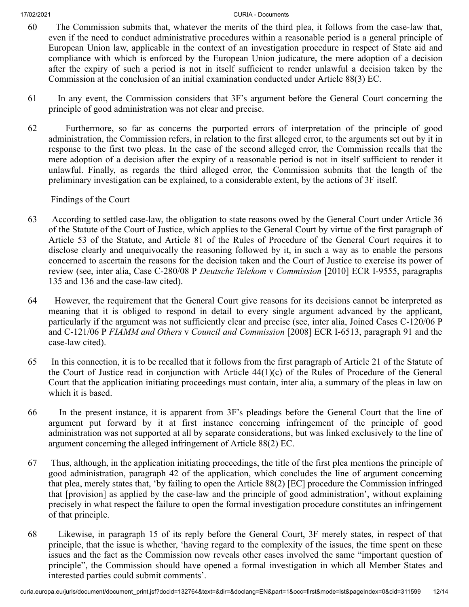- 60 The Commission submits that, whatever the merits of the third plea, it follows from the case-law that, even if the need to conduct administrative procedures within a reasonable period is a general principle of European Union law, applicable in the context of an investigation procedure in respect of State aid and compliance with which is enforced by the European Union judicature, the mere adoption of a decision after the expiry of such a period is not in itself sufficient to render unlawful a decision taken by the Commission at the conclusion of an initial examination conducted under Article 88(3) EC.
- 61 In any event, the Commission considers that 3F's argument before the General Court concerning the principle of good administration was not clear and precise.
- 62 Furthermore, so far as concerns the purported errors of interpretation of the principle of good administration, the Commission refers, in relation to the first alleged error, to the arguments set out by it in response to the first two pleas. In the case of the second alleged error, the Commission recalls that the mere adoption of a decision after the expiry of a reasonable period is not in itself sufficient to render it unlawful. Finally, as regards the third alleged error, the Commission submits that the length of the preliminary investigation can be explained, to a considerable extent, by the actions of 3F itself.

Findings of the Court

- 63 According to settled case-law, the obligation to state reasons owed by the General Court under Article 36 of the Statute of the Court of Justice, which applies to the General Court by virtue of the first paragraph of Article 53 of the Statute, and Article 81 of the Rules of Procedure of the General Court requires it to disclose clearly and unequivocally the reasoning followed by it, in such a way as to enable the persons concerned to ascertain the reasons for the decision taken and the Court of Justice to exercise its power of review (see, inter alia, Case C‑280/08 P *Deutsche Telekom* v *Commission* [2010] ECR I‑9555, paragraphs 135 and 136 and the case-law cited).
- 64 However, the requirement that the General Court give reasons for its decisions cannot be interpreted as meaning that it is obliged to respond in detail to every single argument advanced by the applicant, particularly if the argument was not sufficiently clear and precise (see, inter alia, Joined Cases C‑120/06 P and C‑121/06 P *FIAMM and Others* v *Council and Commission* [2008] ECR I‑6513, paragraph 91 and the case-law cited).
- 65 In this connection, it is to be recalled that it follows from the first paragraph of Article 21 of the Statute of the Court of Justice read in conjunction with Article 44(1)(c) of the Rules of Procedure of the General Court that the application initiating proceedings must contain, inter alia, a summary of the pleas in law on which it is based.
- 66 In the present instance, it is apparent from 3F's pleadings before the General Court that the line of argument put forward by it at first instance concerning infringement of the principle of good administration was not supported at all by separate considerations, but was linked exclusively to the line of argument concerning the alleged infringement of Article 88(2) EC.
- 67 Thus, although, in the application initiating proceedings, the title of the first plea mentions the principle of good administration, paragraph 42 of the application, which concludes the line of argument concerning that plea, merely states that, 'by failing to open the Article 88(2) [EC] procedure the Commission infringed that [provision] as applied by the case-law and the principle of good administration', without explaining precisely in what respect the failure to open the formal investigation procedure constitutes an infringement of that principle.
- 68 Likewise, in paragraph 15 of its reply before the General Court, 3F merely states, in respect of that principle, that the issue is whether, 'having regard to the complexity of the issues, the time spent on these issues and the fact as the Commission now reveals other cases involved the same "important question of principle", the Commission should have opened a formal investigation in which all Member States and interested parties could submit comments'.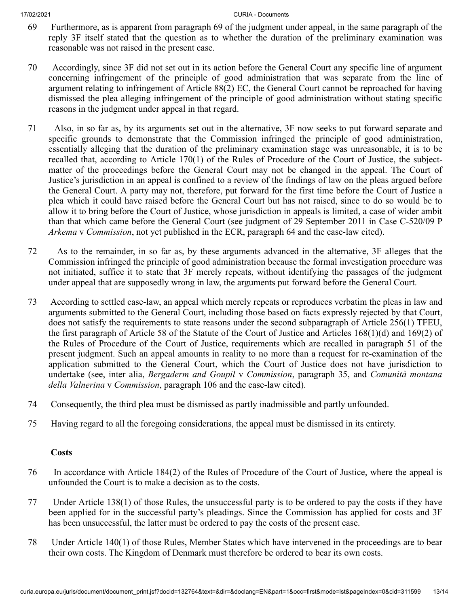- 69 Furthermore, as is apparent from paragraph 69 of the judgment under appeal, in the same paragraph of the reply 3F itself stated that the question as to whether the duration of the preliminary examination was reasonable was not raised in the present case.
- 70 Accordingly, since 3F did not set out in its action before the General Court any specific line of argument concerning infringement of the principle of good administration that was separate from the line of argument relating to infringement of Article 88(2) EC, the General Court cannot be reproached for having dismissed the plea alleging infringement of the principle of good administration without stating specific reasons in the judgment under appeal in that regard.
- 71 Also, in so far as, by its arguments set out in the alternative, 3F now seeks to put forward separate and specific grounds to demonstrate that the Commission infringed the principle of good administration, essentially alleging that the duration of the preliminary examination stage was unreasonable, it is to be recalled that, according to Article 170(1) of the Rules of Procedure of the Court of Justice, the subjectmatter of the proceedings before the General Court may not be changed in the appeal. The Court of Justice's jurisdiction in an appeal is confined to a review of the findings of law on the pleas argued before the General Court. A party may not, therefore, put forward for the first time before the Court of Justice a plea which it could have raised before the General Court but has not raised, since to do so would be to allow it to bring before the Court of Justice, whose jurisdiction in appeals is limited, a case of wider ambit than that which came before the General Court (see judgment of 29 September 2011 in Case C‑520/09 P *Arkema* v *Commission*, not yet published in the ECR, paragraph 64 and the case-law cited).
- 72 As to the remainder, in so far as, by these arguments advanced in the alternative, 3F alleges that the Commission infringed the principle of good administration because the formal investigation procedure was not initiated, suffice it to state that 3F merely repeats, without identifying the passages of the judgment under appeal that are supposedly wrong in law, the arguments put forward before the General Court.
- 73 According to settled case-law, an appeal which merely repeats or reproduces verbatim the pleas in law and arguments submitted to the General Court, including those based on facts expressly rejected by that Court, does not satisfy the requirements to state reasons under the second subparagraph of Article 256(1) TFEU, the first paragraph of Article 58 of the Statute of the Court of Justice and Articles 168(1)(d) and 169(2) of the Rules of Procedure of the Court of Justice, requirements which are recalled in paragraph 51 of the present judgment. Such an appeal amounts in reality to no more than a request for re-examination of the application submitted to the General Court, which the Court of Justice does not have jurisdiction to undertake (see, inter alia, *Bergaderm and Goupil* v *Commission*, paragraph 35, and *Comunità montana della Valnerina* v *Commission*, paragraph 106 and the case-law cited).
- 74 Consequently, the third plea must be dismissed as partly inadmissible and partly unfounded.
- 75 Having regard to all the foregoing considerations, the appeal must be dismissed in its entirety.

# **Costs**

- 76 In accordance with Article 184(2) of the Rules of Procedure of the Court of Justice, where the appeal is unfounded the Court is to make a decision as to the costs.
- 77 Under Article 138(1) of those Rules, the unsuccessful party is to be ordered to pay the costs if they have been applied for in the successful party's pleadings. Since the Commission has applied for costs and 3F has been unsuccessful, the latter must be ordered to pay the costs of the present case.
- 78 Under Article 140(1) of those Rules, Member States which have intervened in the proceedings are to bear their own costs. The Kingdom of Denmark must therefore be ordered to bear its own costs.